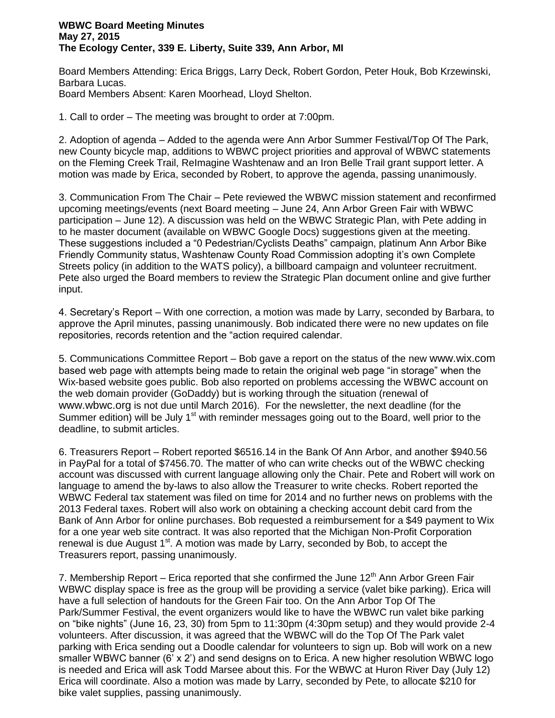## **WBWC Board Meeting Minutes May 27, 2015 The Ecology Center, 339 E. Liberty, Suite 339, Ann Arbor, MI**

Board Members Attending: Erica Briggs, Larry Deck, Robert Gordon, Peter Houk, Bob Krzewinski, Barbara Lucas. Board Members Absent: Karen Moorhead, Lloyd Shelton.

1. Call to order – The meeting was brought to order at 7:00pm.

2. Adoption of agenda – Added to the agenda were Ann Arbor Summer Festival/Top Of The Park, new County bicycle map, additions to WBWC project priorities and approval of WBWC statements on the Fleming Creek Trail, ReImagine Washtenaw and an Iron Belle Trail grant support letter. A motion was made by Erica, seconded by Robert, to approve the agenda, passing unanimously.

3. Communication From The Chair – Pete reviewed the WBWC mission statement and reconfirmed upcoming meetings/events (next Board meeting – June 24, Ann Arbor Green Fair with WBWC participation – June 12). A discussion was held on the WBWC Strategic Plan, with Pete adding in to he master document (available on WBWC Google Docs) suggestions given at the meeting. These suggestions included a "0 Pedestrian/Cyclists Deaths" campaign, platinum Ann Arbor Bike Friendly Community status, Washtenaw County Road Commission adopting it's own Complete Streets policy (in addition to the WATS policy), a billboard campaign and volunteer recruitment. Pete also urged the Board members to review the Strategic Plan document online and give further input.

4. Secretary's Report – With one correction, a motion was made by Larry, seconded by Barbara, to approve the April minutes, passing unanimously. Bob indicated there were no new updates on file repositories, records retention and the "action required calendar.

5. Communications Committee Report – Bob gave a report on the status of the new www.wix.com based web page with attempts being made to retain the original web page "in storage" when the Wix-based website goes public. Bob also reported on problems accessing the WBWC account on the web domain provider (GoDaddy) but is working through the situation (renewal of www.wbwc.org is not due until March 2016). For the newsletter, the next deadline (for the Summer edition) will be July  $1<sup>st</sup>$  with reminder messages going out to the Board, well prior to the deadline, to submit articles.

6. Treasurers Report – Robert reported \$6516.14 in the Bank Of Ann Arbor, and another \$940.56 in PayPal for a total of \$7456.70. The matter of who can write checks out of the WBWC checking account was discussed with current language allowing only the Chair. Pete and Robert will work on language to amend the by-laws to also allow the Treasurer to write checks. Robert reported the WBWC Federal tax statement was filed on time for 2014 and no further news on problems with the 2013 Federal taxes. Robert will also work on obtaining a checking account debit card from the Bank of Ann Arbor for online purchases. Bob requested a reimbursement for a \$49 payment to Wix for a one year web site contract. It was also reported that the Michigan Non-Profit Corporation renewal is due August  $1<sup>st</sup>$ . A motion was made by Larry, seconded by Bob, to accept the Treasurers report, passing unanimously.

7. Membership Report – Erica reported that she confirmed the June 12<sup>th</sup> Ann Arbor Green Fair WBWC display space is free as the group will be providing a service (valet bike parking). Erica will have a full selection of handouts for the Green Fair too. On the Ann Arbor Top Of The Park/Summer Festival, the event organizers would like to have the WBWC run valet bike parking on "bike nights" (June 16, 23, 30) from 5pm to 11:30pm (4:30pm setup) and they would provide 2-4 volunteers. After discussion, it was agreed that the WBWC will do the Top Of The Park valet parking with Erica sending out a Doodle calendar for volunteers to sign up. Bob will work on a new smaller WBWC banner (6' x 2') and send designs on to Erica. A new higher resolution WBWC logo is needed and Erica will ask Todd Marsee about this. For the WBWC at Huron River Day (July 12) Erica will coordinate. Also a motion was made by Larry, seconded by Pete, to allocate \$210 for bike valet supplies, passing unanimously.